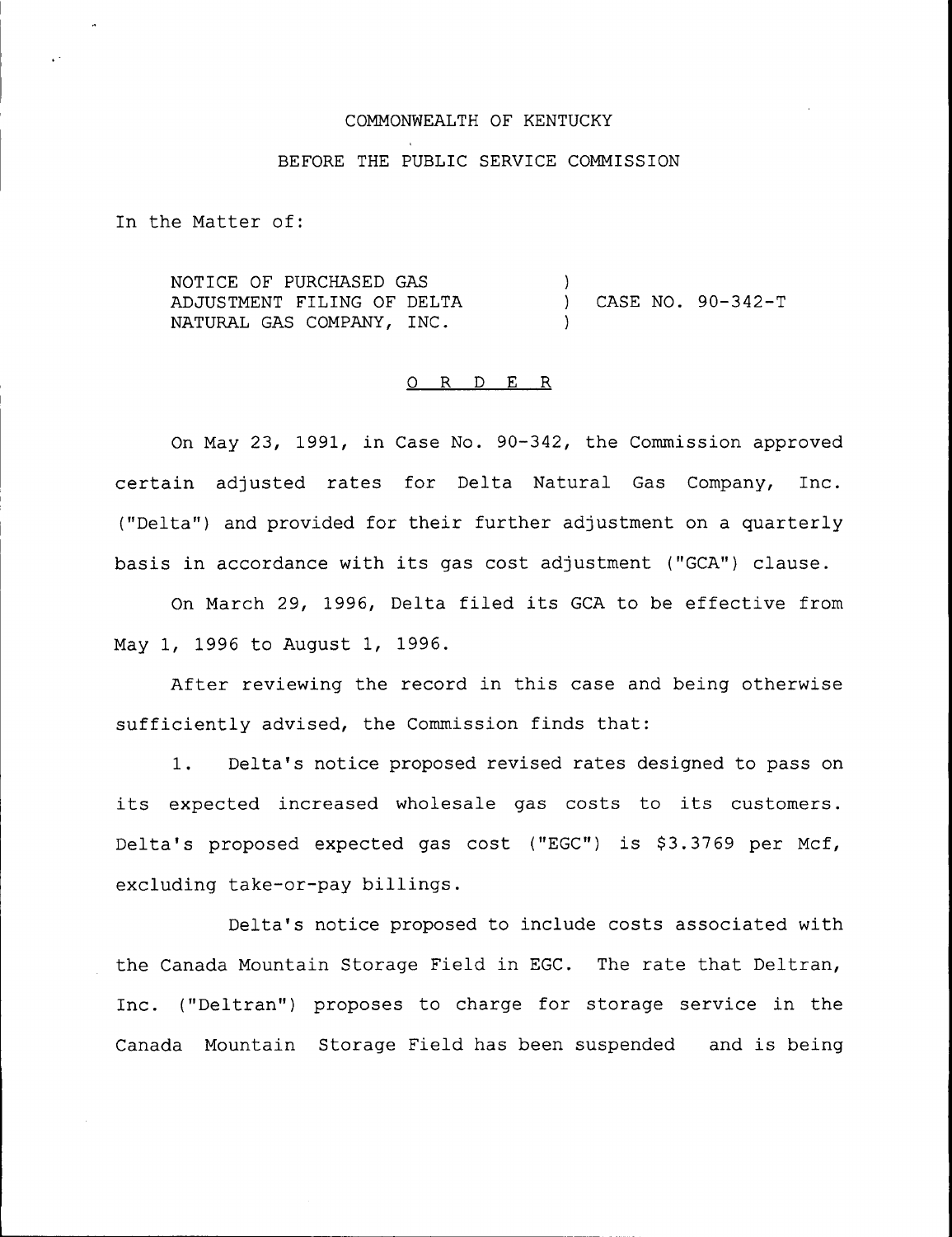### COMMONWEALTH OF KENTUCKY

## BEFORE THE PUBLIC SERVICE COMMISSION

In the Matter of:

NOTICE OF PURCHASED GAS ADJUSTMENT FILING OF DELTA NATURAL GAS COMPANY, INC. ) ) CASE NO. 90-342-T )

## 0 R <sup>D</sup> E R

On May 23, 1991, in Case No. 90-342, the Commission approved certain adjusted rates for Delta Natural Gas Company, Inc. ("Delta") and provided for their further adjustment on a quarterly basis in accordance with its gas cost adjustment ("GCA") clause.

On March 29, 1996, Delta filed its GCA to be effective from May 1, 1996 to August 1, 1996.

After reviewing the record in this case and being otherwise sufficiently advised, the Commission finds that:

1. Delta's notice proposed revised rates designed to pass on its expected increased wholesale gas costs to its customers. Delta's proposed expected gas cost ("EGC") is \$3.3769 per Mcf, excluding take-or-pay billings.

Delta's notice proposed to include costs associated with the Canada Mountain Storage Field in EGC. The rate that Deltran, Inc. ("Deltran") proposes to charge for storage service in the Canada Mountain Storage Field has been suspended and is being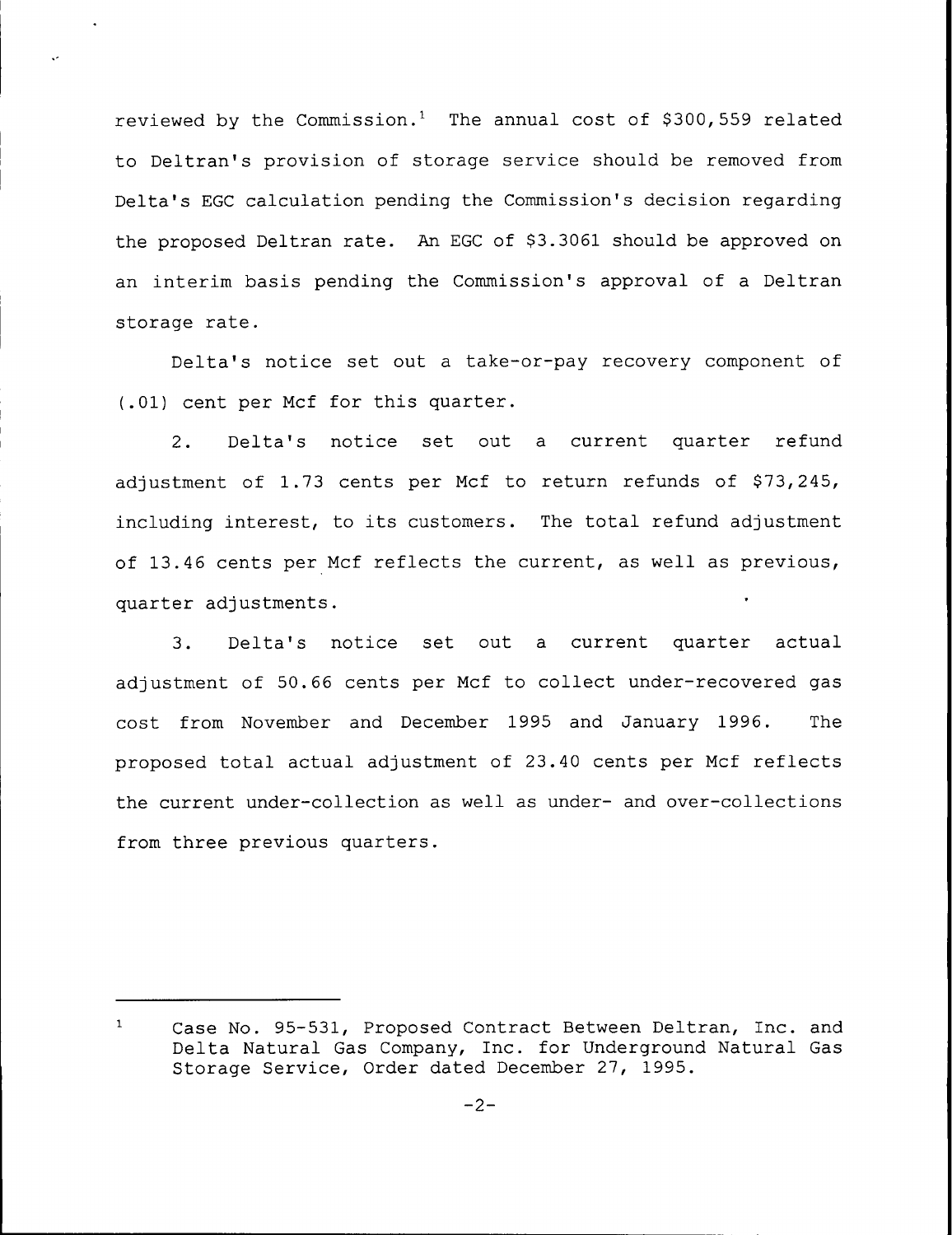reviewed by the Commission.<sup>1</sup> The annual cost of \$300, 559 related to Deltran's provision of storage service should be removed from Delta's EGC calculation pending the Commission's decision regarding the proposed Deltran rate. An EGC of \$3.3061 should be approved on an interim basis pending the Commission's approval of a Deltran storage rate.

Delta's notice set out a take-or-pay recovery component of (.01) cent per Mcf for this quarter.

2. Delta's notice set out a current quarter refund adjustment of  $1.73$  cents per Mcf to return refunds of \$73,245, including interest, to its customers. The total refund adjustment of 13.46 cents per Mcf reflects the current, as well as previous, quarter adjustments.

3. Delta's notice set out a current quarter actual adjustment of 50.66 cents per Mcf to collect under-recovered gas cost from November and December 1995 and January 1996. The proposed total actual adjustment of 23.40 cents per Mcf reflects the current under-collection as well as under- and over-collections from three previous quarters.

 $\mathbf{1}$ Case No. 95-531, Proposed Contract Between Deltran, Inc. and Delta Natural Gas Company, Inc. for Underground Natural Gas Storage Service, Order dated December 27, 1995.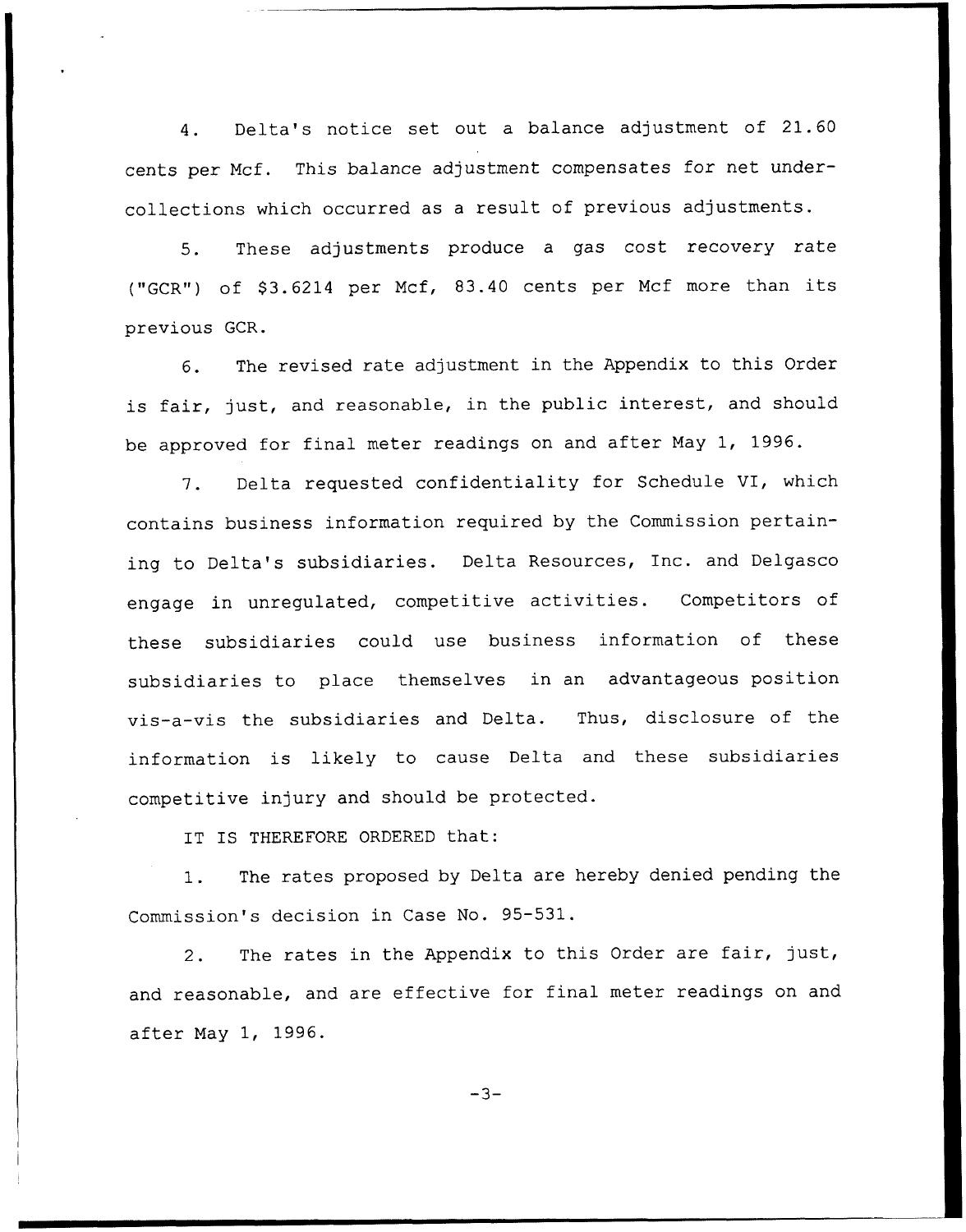4. Delta's notice set out <sup>a</sup> balance adjustment of 21.60 cents per Ncf. This balance adjustment compensates for net undercollections which occurred as a result of previous adjustments.

5. These adjustments produce <sup>a</sup> gas cost recovery rate ("GCR") of \$3.6214 per Mcf, 83.40 cents per Mcf more than its previous GCR.

6. The revised rate adjustment in the Appendix to this Order is fair, just, and reasonable, in the public interest, and should be approved for final meter readings on and after May 1, 1996.

7. Delta requested confidentiality for Schedule VI, which contains business information required by the Commission pertaining to Delta's subsidiaries. Delta Resources, Inc. and Delgasco engage in unregulated, competitive activities. Competitors of these subsidiaries could use business information of these subsidiaries to place themselves in an advantageous position vis-a-vis the subsidiaries and Delta. Thus, disclosure of the information is likely to cause Delta and these subsidiaries competitive injury and should be protected.

IT IS THEREFORE ORDERED that:

1. The rates proposed by Delta are hereby denied pending the Commission's decision in Case No. 95-531.

2. The rates in the Appendix to this Order are fair, just, and reasonable, and are effective for final meter readings on and after May 1, 1996.

 $-3-$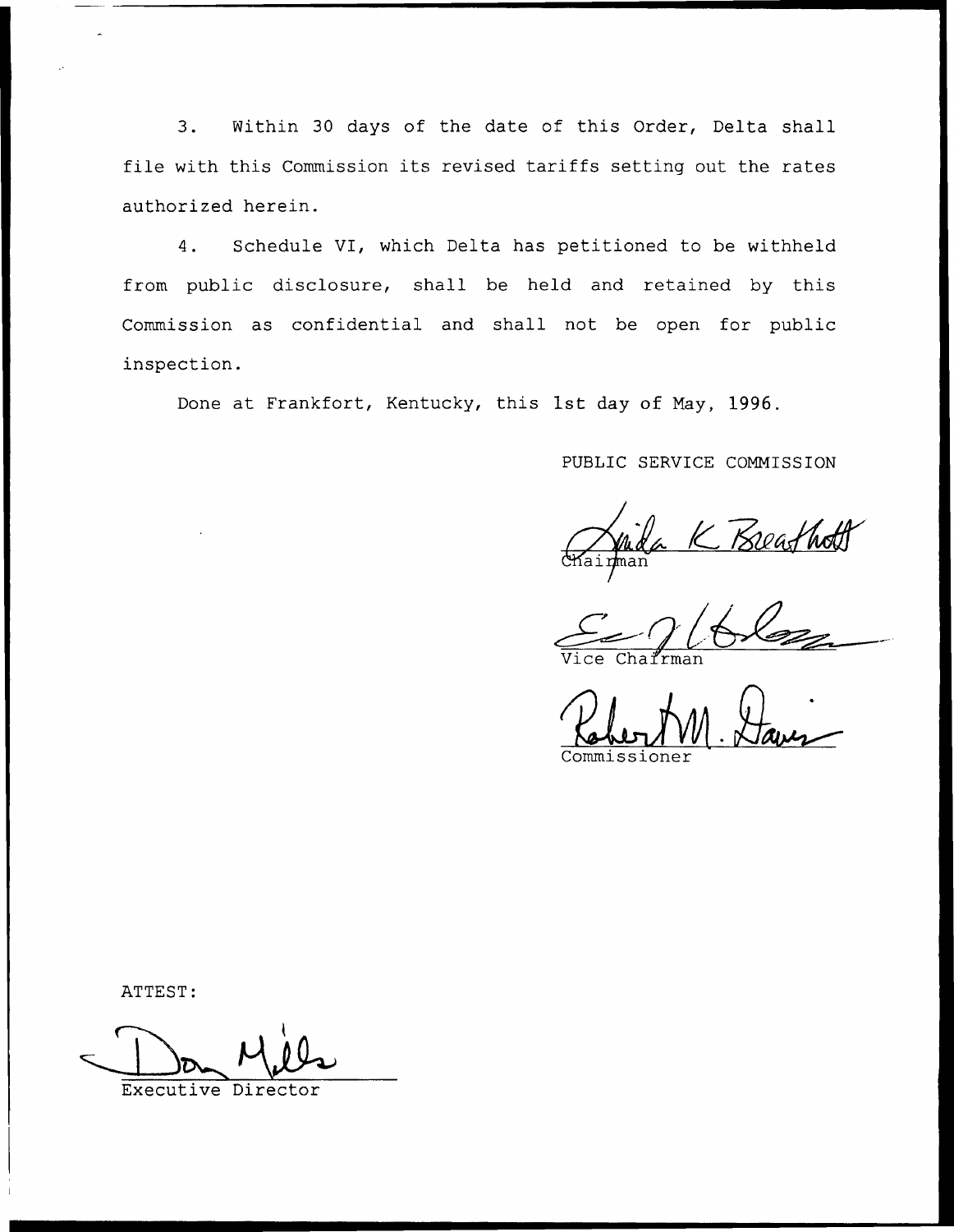3. Within 30 days of the date of this Order, Delta shall file with this Commission its revised tariffs setting out the rates authorized herein.

4. Schedule VI, which Delta has petitioned to be withheld from public disclosure, shall be held and retained by this Commission as confidential and shall not be open for public inspection.

Done at Frankfort, Kentucky, this 1st day of May, 1996.

# PUBLIC SERVICE COMMISSION

<u>Keafha</u>

Vice Chairma

Commissioner

ATTEST:

Executive Director